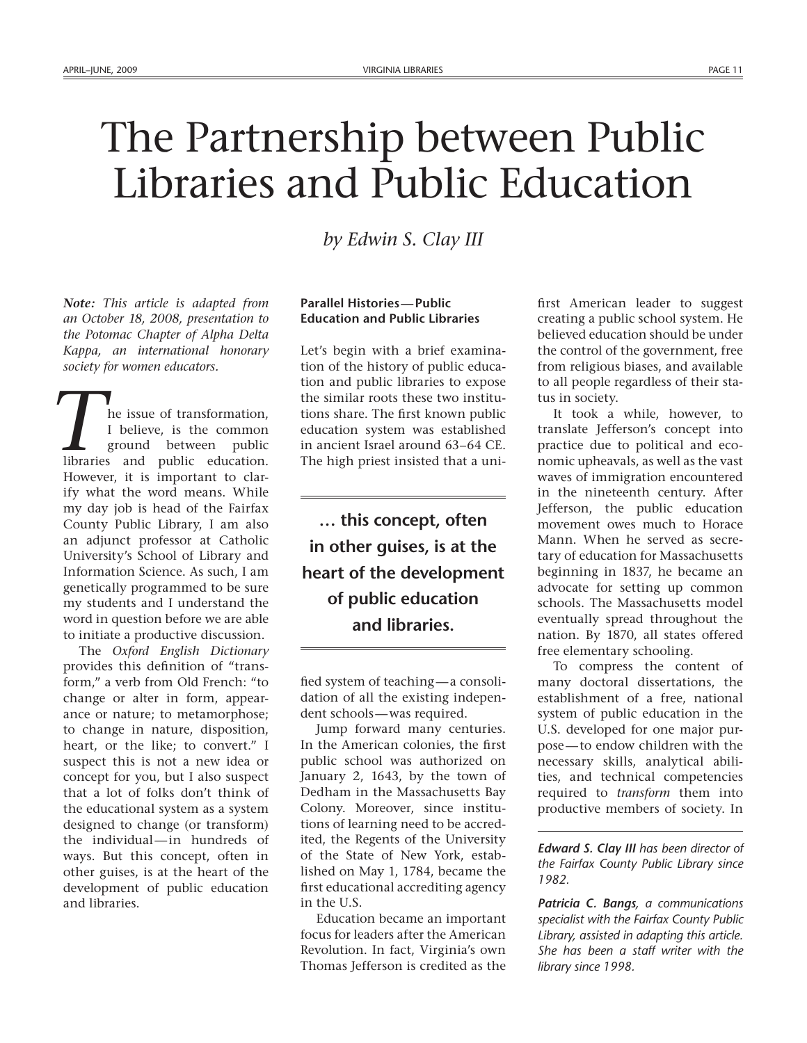# The Partnership between Public Libraries and Public Education

*by Edwin S. Clay III*

*Note: This article is adapted from an October 18, 2008, presentation to the Potomac Chapter of Alpha Delta Kappa, an international honorary society for women educators.*

he issue of transformation, I believe, is the common ground between public **l** he issue of transformation,<br> *I* believe, is the common ground between public libraries and public education. However, it is important to clarify what the word means. While my day job is head of the Fairfax County Public Library, I am also an adjunct professor at Catholic University's School of Library and Information Science. As such, I am genetically programmed to be sure my students and I understand the word in question before we are able to initiate a productive discussion.

The *Oxford English Dictionary* provides this definition of "transform," a verb from Old French: "to change or alter in form, appearance or nature; to metamorphose; to change in nature, disposition, heart, or the like; to convert." I suspect this is not a new idea or concept for you, but I also suspect that a lot of folks don't think of the educational system as a system designed to change (or transform) the individual—in hundreds of ways. But this concept, often in other guises, is at the heart of the development of public education and libraries.

## **Parallel Histories—Public Education and Public Libraries**

Let's begin with a brief examination of the history of public education and public libraries to expose the similar roots these two institutions share. The first known public education system was established in ancient Israel around 63–64 CE. The high priest insisted that a uni-

**… this concept, often in other guises, is at the heart of the development of public education and libraries.**

fied system of teaching—a consolidation of all the existing independent schools—was required.

Jump forward many centuries. In the American colonies, the first public school was authorized on January 2, 1643, by the town of Dedham in the Massachusetts Bay Colony. Moreover, since institutions of learning need to be accredited, the Regents of the University of the State of New York, established on May 1, 1784, became the first educational accrediting agency in the U.S.

Education became an important focus for leaders after the American Revolution. In fact, Virginia's own Thomas Jefferson is credited as the first American leader to suggest creating a public school system. He believed education should be under the control of the government, free from religious biases, and available to all people regardless of their status in society.

It took a while, however, to translate Jefferson's concept into practice due to political and economic upheavals, as well as the vast waves of immigration encountered in the nineteenth century. After Jefferson, the public education movement owes much to Horace Mann. When he served as secretary of education for Massachusetts beginning in 1837, he became an advocate for setting up common schools. The Massachusetts model eventually spread throughout the nation. By 1870, all states offered free elementary schooling.

To compress the content of many doctoral dissertations, the establishment of a free, national system of public education in the U.S. developed for one major purpose—to endow children with the necessary skills, analytical abilities, and technical competencies required to *transform* them into productive members of society. In

*Edward S. Clay III has been director of the Fairfax County Public Library since 1982.*

*Patricia C. Bangs, a communications specialist with the Fairfax County Public Library, assisted in adapting this article. She has been a staff writer with the library since 1998.*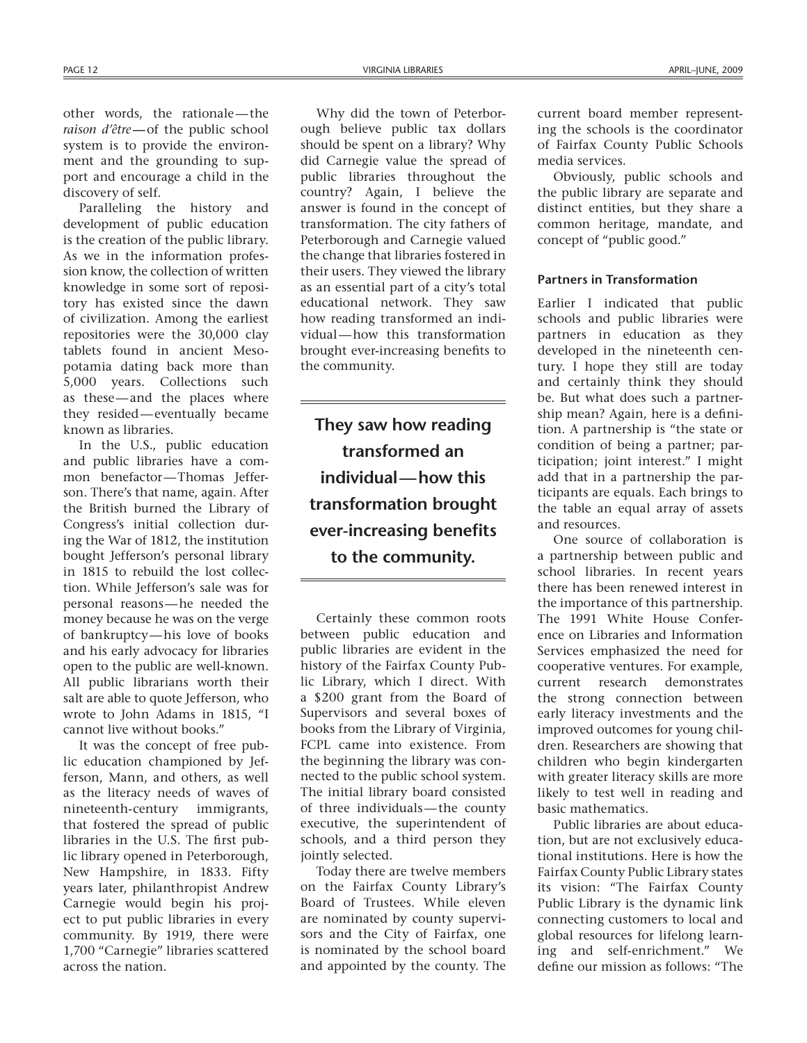other words, the rationale—the *raison d'être***—**of the public school system is to provide the environment and the grounding to support and encourage a child in the discovery of self.

Paralleling the history and development of public education is the creation of the public library. As we in the information profession know, the collection of written knowledge in some sort of repository has existed since the dawn of civilization. Among the earliest repositories were the 30,000 clay tablets found in ancient Mesopotamia dating back more than 5,000 years. Collections such as these—and the places where they resided—eventually became known as libraries.

In the U.S., public education and public libraries have a common benefactor—Thomas Jefferson. There's that name, again. After the British burned the Library of Congress's initial collection during the War of 1812, the institution bought Jefferson's personal library in 1815 to rebuild the lost collection. While Jefferson's sale was for personal reasons—he needed the money because he was on the verge of bankruptcy—his love of books and his early advocacy for libraries open to the public are well-known. All public librarians worth their salt are able to quote Jefferson, who wrote to John Adams in 1815, "I cannot live without books."

It was the concept of free public education championed by Jefferson, Mann, and others, as well as the literacy needs of waves of nineteenth-century immigrants, that fostered the spread of public libraries in the U.S. The first public library opened in Peterborough, New Hampshire, in 1833. Fifty years later, philanthropist Andrew Carnegie would begin his project to put public libraries in every community. By 1919, there were 1,700 "Carnegie" libraries scattered across the nation.

Why did the town of Peterborough believe public tax dollars should be spent on a library? Why did Carnegie value the spread of public libraries throughout the country? Again, I believe the answer is found in the concept of transformation. The city fathers of Peterborough and Carnegie valued the change that libraries fostered in their users. They viewed the library as an essential part of a city's total educational network. They saw how reading transformed an individual—how this transformation brought ever-increasing benefits to the community.

**They saw how reading transformed an individual—how this transformation brought ever-increasing benefits to the community.**

Certainly these common roots between public education and public libraries are evident in the history of the Fairfax County Public Library, which I direct. With a \$200 grant from the Board of Supervisors and several boxes of books from the Library of Virginia, FCPL came into existence. From the beginning the library was connected to the public school system. The initial library board consisted of three individuals—the county executive, the superintendent of schools, and a third person they jointly selected.

Today there are twelve members on the Fairfax County Library's Board of Trustees. While eleven are nominated by county supervisors and the City of Fairfax, one is nominated by the school board and appointed by the county. The current board member representing the schools is the coordinator of Fairfax County Public Schools media services.

Obviously, public schools and the public library are separate and distinct entities, but they share a common heritage, mandate, and concept of "public good."

#### **Partners in Transformation**

Earlier I indicated that public schools and public libraries were partners in education as they developed in the nineteenth century. I hope they still are today and certainly think they should be. But what does such a partnership mean? Again, here is a definition. A partnership is "the state or condition of being a partner; participation; joint interest." I might add that in a partnership the participants are equals. Each brings to the table an equal array of assets and resources.

One source of collaboration is a partnership between public and school libraries. In recent years there has been renewed interest in the importance of this partnership. The 1991 White House Conference on Libraries and Information Services emphasized the need for cooperative ventures. For example, current research demonstrates the strong connection between early literacy investments and the improved outcomes for young children. Researchers are showing that children who begin kindergarten with greater literacy skills are more likely to test well in reading and basic mathematics.

Public libraries are about education, but are not exclusively educational institutions. Here is how the Fairfax County Public Library states its vision: "The Fairfax County Public Library is the dynamic link connecting customers to local and global resources for lifelong learning and self-enrichment." We define our mission as follows: "The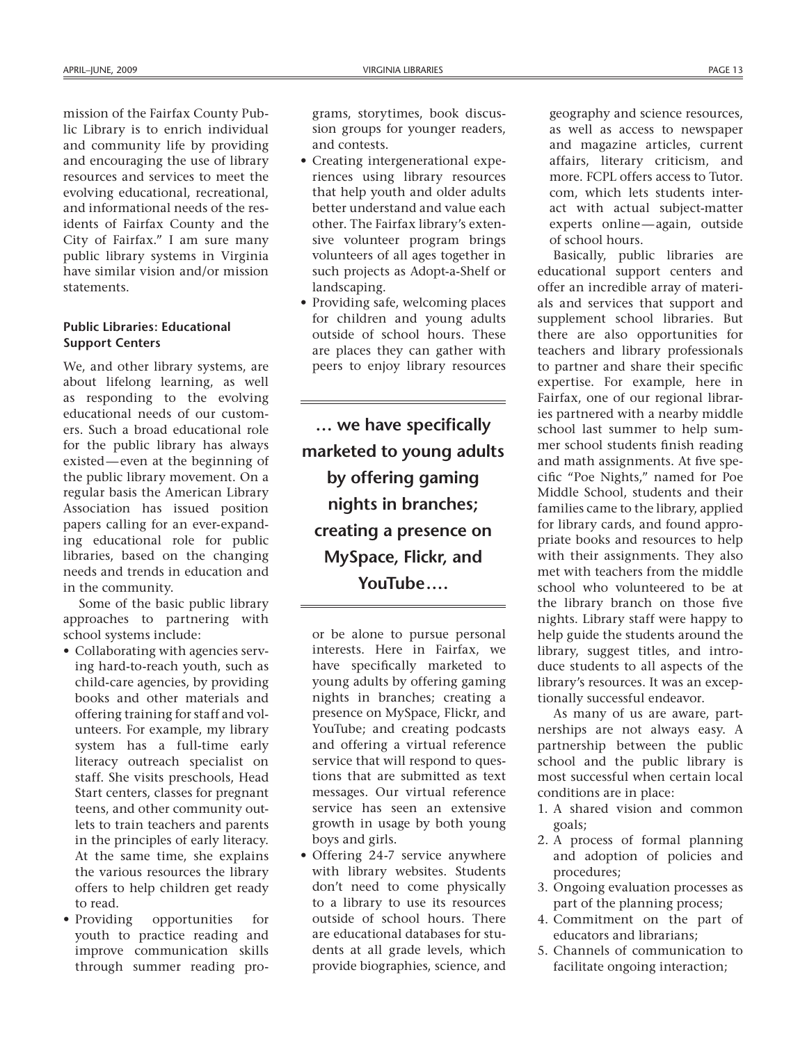mission of the Fairfax County Public Library is to enrich individual and community life by providing and encouraging the use of library resources and services to meet the evolving educational, recreational, and informational needs of the residents of Fairfax County and the City of Fairfax." I am sure many public library systems in Virginia have similar vision and/or mission statements.

### **Public Libraries: Educational Support Centers**

We, and other library systems, are about lifelong learning, as well as responding to the evolving educational needs of our customers. Such a broad educational role for the public library has always existed—even at the beginning of the public library movement. On a regular basis the American Library Association has issued position papers calling for an ever-expanding educational role for public libraries, based on the changing needs and trends in education and in the community.

Some of the basic public library approaches to partnering with school systems include:

- • Collaborating with agencies serving hard-to-reach youth, such as child-care agencies, by providing books and other materials and offering training for staff and volunteers. For example, my library system has a full-time early literacy outreach specialist on staff. She visits preschools, Head Start centers, classes for pregnant teens, and other community outlets to train teachers and parents in the principles of early literacy. At the same time, she explains the various resources the library offers to help children get ready to read.
- • Providing opportunities for youth to practice reading and improve communication skills through summer reading pro-

grams, storytimes, book discussion groups for younger readers, and contests.

- Creating intergenerational experiences using library resources that help youth and older adults better understand and value each other. The Fairfax library's extensive volunteer program brings volunteers of all ages together in such projects as Adopt-a-Shelf or landscaping.
- Providing safe, welcoming places for children and young adults outside of school hours. These are places they can gather with peers to enjoy library resources

**… we have specifically marketed to young adults by offering gaming nights in branches; creating a presence on MySpace, Flickr, and YouTube ….**

or be alone to pursue personal interests. Here in Fairfax, we have specifically marketed to young adults by offering gaming nights in branches; creating a presence on MySpace, Flickr, and YouTube; and creating podcasts and offering a virtual reference service that will respond to questions that are submitted as text messages. Our virtual reference service has seen an extensive growth in usage by both young boys and girls.

• Offering 24-7 service anywhere with library websites. Students don't need to come physically to a library to use its resources outside of school hours. There are educational databases for students at all grade levels, which provide biographies, science, and geography and science resources, as well as access to newspaper and magazine articles, current affairs, literary criticism, and more. FCPL offers access to Tutor. com, which lets students interact with actual subject-matter experts online—again, outside of school hours.

Basically, public libraries are educational support centers and offer an incredible array of materials and services that support and supplement school libraries. But there are also opportunities for teachers and library professionals to partner and share their specific expertise. For example, here in Fairfax, one of our regional libraries partnered with a nearby middle school last summer to help summer school students finish reading and math assignments. At five specific "Poe Nights," named for Poe Middle School, students and their families came to the library, applied for library cards, and found appropriate books and resources to help with their assignments. They also met with teachers from the middle school who volunteered to be at the library branch on those five nights. Library staff were happy to help guide the students around the library, suggest titles, and introduce students to all aspects of the library's resources. It was an exceptionally successful endeavor.

As many of us are aware, partnerships are not always easy. A partnership between the public school and the public library is most successful when certain local conditions are in place:

- 1. A shared vision and common goals;
- 2. A process of formal planning and adoption of policies and procedures;
- 3. Ongoing evaluation processes as part of the planning process;
- 4. Commitment on the part of educators and librarians;
- 5. Channels of communication to facilitate ongoing interaction;